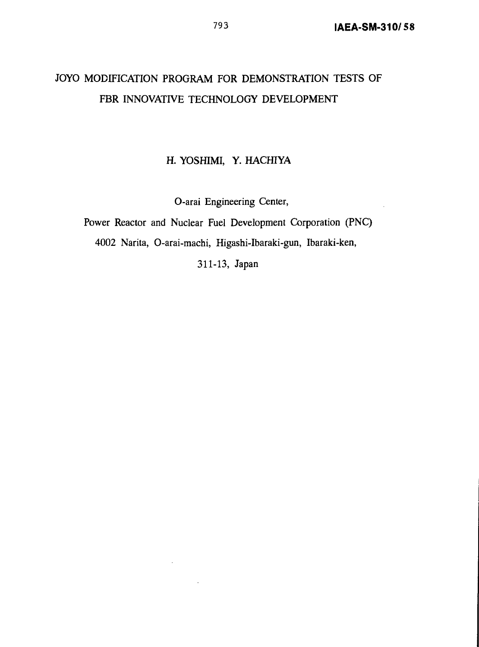# JOYO MODIFICATION PROGRAM FOR DEMONSTRATION TESTS OF FBR INNOVATIVE TECHNOLOGY DEVELOPMENT

## H. YOSHIMI, Y. HACHIYA

O-arai Engineering Center,

Power Reactor and Nuclear Fuel Development Corporation (PNC) 4002 Narita, O-arai-machi, Higashi-Ibaraki-gun, Ibaraki-ken,

311-13, Japan

 $\sim$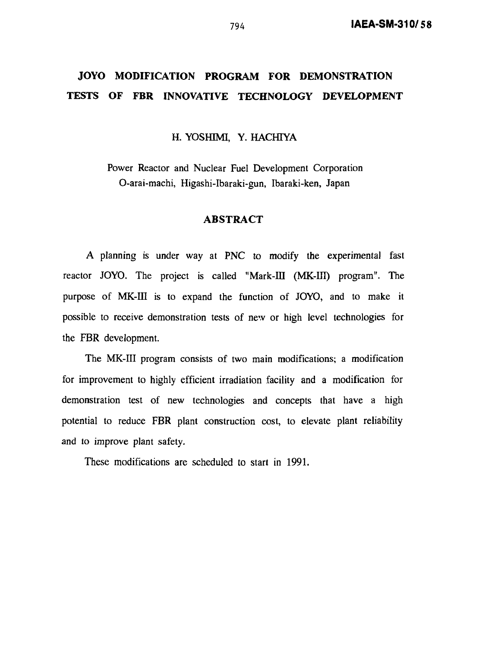## **JOYO MODIFICATION PROGRAM FOR DEMONSTRATION TESTS OF FBR INNOVATIVE TECHNOLOGY DEVELOPMENT**

H. YOSHIMI, Y. HACHIYA

Power Reactor and Nuclear Fuel Development Corporation O-arai-machi, Higashi-Ibaraki-gun, Ibaraki-ken, Japan

## **ABSTRACT**

A planning is under way at PNC to modify the experimental fast reactor JOYO. The project is called "Mark-III (MK-III) program". The purpose of MK-III is to expand the function of JOYO, and to make it possible to receive demonstration tests of new or high level technologies for the FBR development.

The MK-III program consists of two main modifications; a modification for improvement to highly efficient irradiation facility and a modification for demonstration test of new technologies and concepts that have a high potential to reduce FBR plant construction cost, to elevate plant reliability and to improve plant safety.

These modifications are scheduled to start in 1991.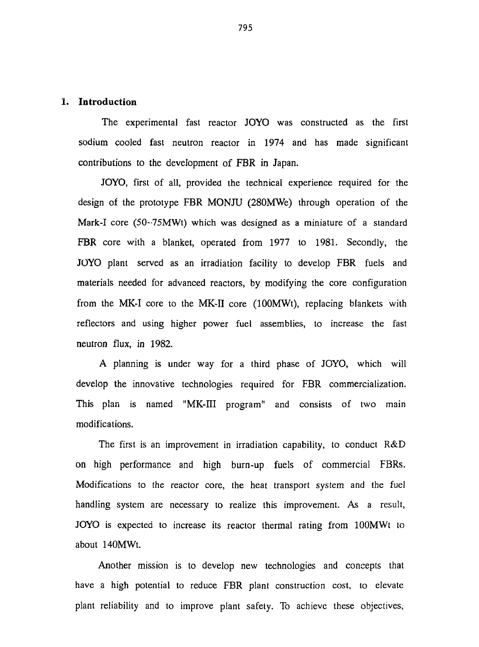#### **1. Introduction**

The experimental fast reactor JOYO was constructed as the first sodium cooled fast neutron reactor in 1974 and has made significant contributions to the development of FBR in Japan.

JOYO, first of all, provided the technical experience required for the design of the prototype FBR MONJU (280MWe) through operation of the Mark-I core (50~75MWt) which was designed as a miniature of a standard FBR core with a blanket, operated from 1977 to 1981. Secondly, the JOYO plant served as an irradiation facility to develop FBR fuels and materials needed for advanced reactors, by modifying the core configuration from the MK-I core to the MK-II core (100MWt), replacing blankets with reflectors and using higher power fuel assemblies, to increase the fast neutron flux, in 1982.

A planning is under way for a third phase of JOYO, which will develop the innovative technologies required for FBR commercialization. This plan is named "MK-III program" and consists of two main modifications.

The first is an improvement in irradiation capability, to conduct R&D on high performance and high burn-up fuels of commercial FBRs. Modifications to the reactor core, the heat transport system and the fuel handling system are necessary to realize this improvement. As a result, JOYO is expected to increase its reactor thermal rating from lOOMWt to about 140MWt.

Another mission is to develop new technologies and concepts that have a high potential to reduce FBR plant construction cost, to elevate plant reliability and to improve plant safety. To achieve these objectives,

795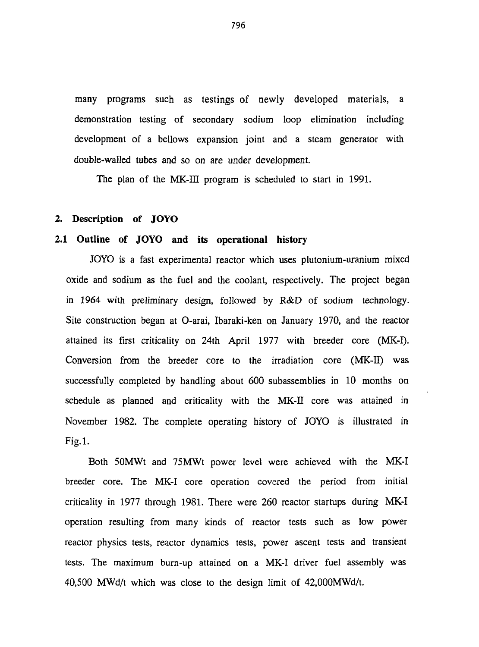many programs such as testings of newly developed materials, a demonstration testing of secondary sodium loop elimination including development of a bellows expansion joint and a steam generator with double-wailed tubes and so on are under development.

The plan of the MK-III program is scheduled to start in 1991.

### **2. Description of JOYO**

#### **2.1 Outline of JOYO and its operational history**

JOYO is a fast experimental reactor which uses plutonium-uranium mixed oxide and sodium as the fuel and the coolant, respectively. The project began in 1964 with preliminary design, followed by R&D of sodium technology. Site construction began at O-arai, Ibaraki-ken on January 1970, and the reactor attained its first criticality on 24th April 1977 with breeder core (MK-I). Conversion from the breeder core to the irradiation core (MK-II) was successfully completed by handling about 600 subassemblies in 10 months on schedule as planned and criticality with the MK-II core was attained in November 1982. The complete operating history of JOYO is illustrated in Fig.l.

Both 50MWt and 75MWt power level were achieved with the MK-I breeder core. The MK-I core operation covered the period from initial criticality in 1977 through 1981. There were 260 reactor startups during MK-I operation resulting from many kinds of reactor tests such as low power reactor physics tests, reactor dynamics tests, power ascent tests and transient tests. The maximum burn-up attained on a MK-I driver fuel assembly was 40,500 MWd/t which was close to the design limit of 42,000MWd/t.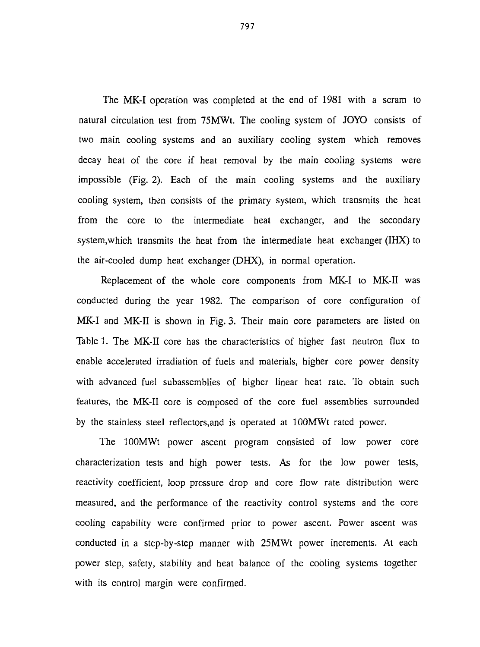The **MK-I** operation was completed at the end of 1981 with a scram to natural circulation test from 75MWt. The cooling system of JOYO consists of two main cooling systems and an auxiliary cooling system which removes decay heat of the core if heat removal by the main cooling systems were impossible (Fig. 2). Each of the main cooling systems and the auxiliary cooling system, then consists of the primary system, which transmits the heat from the core to the intermediate heat exchanger, and the secondary system,which transmits the heat from the intermediate heat exchanger (IHX) to the air-cooled dump heat exchanger (DHX), in normal operation.

Replacement of the whole core components from MK-I to MK-II was conducted during the year 1982. The comparison of core configuration of **MK-I** and MK-II is shown in Fig. 3. Their main core parameters are listed on Table 1. The MK-II core has the characteristics of higher fast neutron flux to enable accelerated irradiation of fuels and materials, higher core power density with advanced fuel subassemblies of higher linear heat rate. To obtain such features, the MK-II core is composed of the core fuel assemblies surrounded by the stainless steel reflectors,and is operated at lOOMWt rated power.

The lOOMWt power ascent program consisted of low power core characterization tests and high power tests. As for the low power tests, reactivity coefficient, loop pressure drop and core flow rate distribution were measured, and the performance of the reactivity control systems and the core cooling capability were confirmed prior to power ascent. Power ascent was conducted in a step-by-step manner with 25MWt power increments. At each power step, safety, stability and heat balance of the cooling systems together with its control margin were confirmed.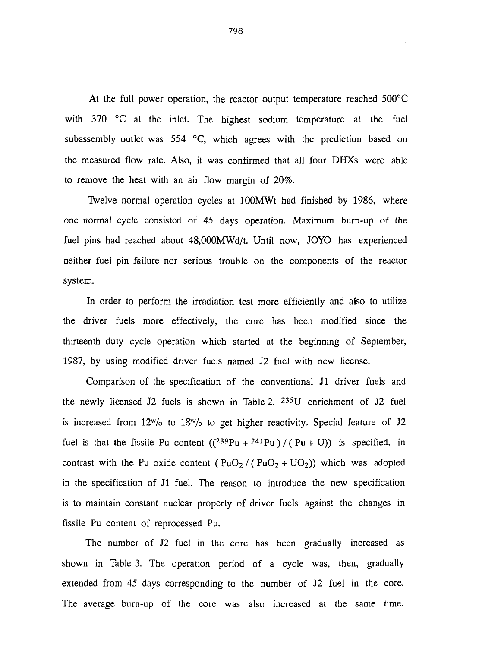At the full power operation, the reactor output temperature reached 500°C with 370 °C at the inlet. The highest sodium temperature at the fuel subassembly outlet was 554 °C, which agrees with the prediction based on the measured flow rate. Also, it was confirmed that all four DHXs were able to remove the heat with an air flow margin of 20%.

Twelve normal operation cycles at 100MWt had finished by 1986, where one normal cycle consisted of 45 days operation. Maximum burn-up of the fuel pins had reached about 48,000MWd/t. Until now, JOYO has experienced neither fuel pin failure nor serious trouble on the components of the reactor system.

In order to perform the irradiation test more efficiently and also to utilize the driver fuels more effectively, the core has been modified since the thirteenth duty cycle operation which started at the beginning of September, 1987, by using modified driver fuels named J2 fuel with new license.

Comparison of the specification of the conventional Jl driver fuels and the newly licensed J2 fuels is shown in Table 2. <sup>235</sup>U enrichment of J2 fuel is increased from  $12^w$ /o to  $18^w$ /o to get higher reactivity. Special feature of J2 fuel is that the fissile Pu content  $((239Pu + 241Pu) / (Pu + U)$  is specified, in contrast with the Pu oxide content  $(PuO<sub>2</sub> / (PuO<sub>2</sub> + UO<sub>2</sub>))$  which was adopted in the specification of Jl fuel. The reason to introduce the new specification is to maintain constant nuclear property of driver fuels against the changes in fissile Pu content of reprocessed Pu.

The number of J2 fuel in the core has been gradually increased as shown in Table 3. The operation period of a cycle was, then, gradually extended from 45 days corresponding to the number of J2 fuel in the core. The average burn-up of the core was also increased at the same time.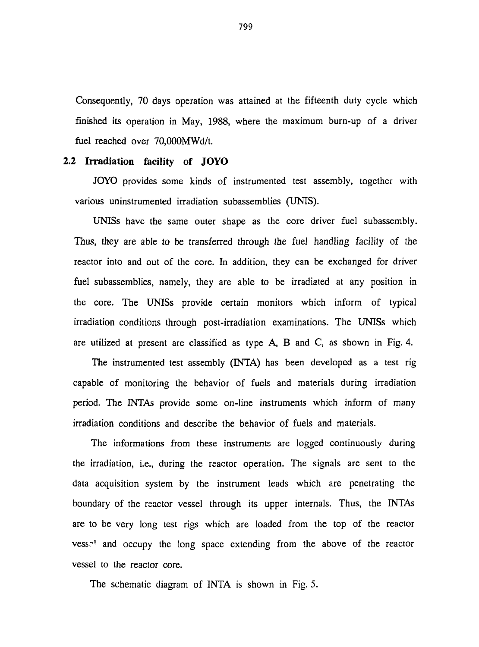Consequently, 70 days operation was attained at the fifteenth duty cycle which finished its operation in May, 1988, where the maximum burn-up of a driver fuel reached over 70,000MWd/t.

#### **2.2 Irradiation facility of JOYO**

JOYO provides some kinds of instrumented test assembly, together with various uninstrumented irradiation subassemblies (UNIS).

UNISs have the same outer shape as the core driver fuel subassembly. Thus, they are able to be transferred through the fuel handling facility of the reactor into and out of the core. In addition, they can be exchanged for driver fuel subassemblies, namely, they are able to be irradiated at any position in the core. The UNISs provide certain monitors which inform of typical irradiation conditions through post-irradiation examinations. The UNISs which are utilized at present are classified as type A, B and C, as shown in Fig. 4.

The instrumented test assembly (INTA) has been developed as a test rig capable of monitoring the behavior of fuels and materials during irradiation period. The INTAs provide some on-line instruments which inform of many irradiation conditions and describe the behavior of fuels and materials.

The informations from these instruments are logged continuously during the irradiation, i.e., during the reactor operation. The signals are sent to the data acquisition system by the instrument leads which are penetrating the boundary of the reactor vessel through its upper internals. Thus, the INTAs are to be very long test rigs which are loaded from the top of the reactor vess<sup>1</sup> and occupy the long space extending from the above of the reactor vessel to the reactor core.

The schematic diagram of INTA is shown in Fig. 5.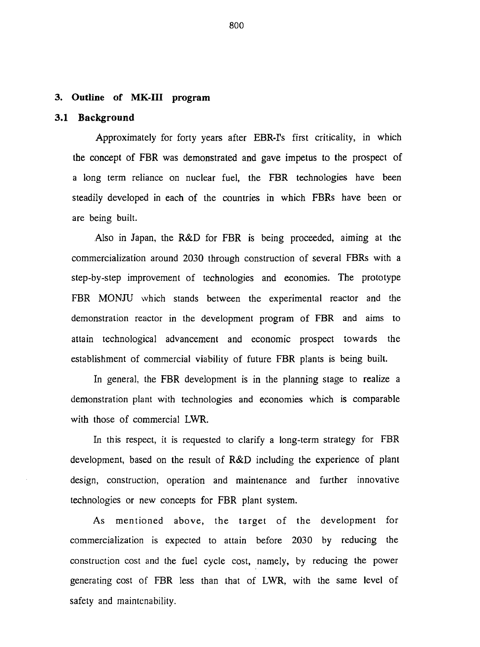#### **3. Outline of MK-III program**

## **3.1 Background**

Approximately for forty years after EBR-Ps first criticality, in which the concept of FBR was demonstrated and gave impetus to the prospect of a long term reliance on nuclear fuel, the FBR technologies have been steadily developed in each of the countries in which FBRs have been or are being built.

Also in Japan, the R&D for FBR is being proceeded, aiming at the commercialization around 2030 through construction of several FBRs with a step-by-step improvement of technologies and economies. The prototype FBR MONJU which stands between the experimental reactor and the demonstration reactor in the development program of FBR and aims to attain technological advancement and economic prospect towards the establishment of commercial viability of future FBR plants is being built.

In general, the FBR development is in the planning stage to realize a demonstration plant with technologies and economies which is comparable with those of commercial LWR.

In this respect, it is requested to clarify a long-term strategy for FBR development, based on the result of  $R\&D$  including the experience of plant design, construction, operation and maintenance and further innovative technologies or new concepts for FBR plant system.

As mentioned above, the target of the development for commercialization is expected to attain before 2030 by reducing the construction cost and the fuel cycle cost, namely, by reducing the power generating cost of FBR less than that of LWR, with the same level of safety and maintenability.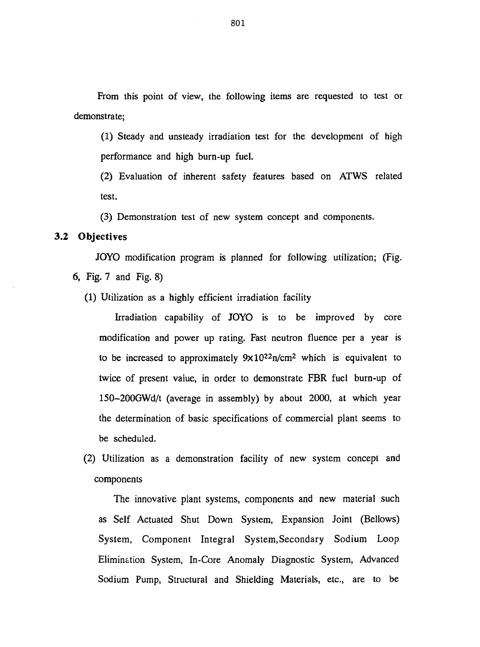From this point of view, the following items are requested to test or demonstrate;

(1) Steady and unsteady irradiation test for the development of high performance and high burn-up fuel.

(2) Evaluation of inherent safety features based on ATWS related test.

(3) Demonstration test of new system concept and components.

#### 3.2 Objectives

JOYO modification program is planned for following utilization; (Fig. 6, Fig. 7 and Fig. 8)

(1) Utilization as a highly efficient irradiation facility

Irradiation capability of JOYO is to be improved by core modification and power up rating. Fast neutron fluence per a year is to be increased to approximately  $9 \times 10^{22}$ n/cm<sup>2</sup> which is equivalent to twice of present value, in order to demonstrate FBR fuel burn-up of 150~200GWd/t (average in assembly) by about 2000, at which year the determination of basic specifications of commercial plant seems to be scheduled.

(2) Utilization as a demonstration facility of new system concept and components

The innovative plant systems, components and new material such as Self Actuated Shut Down System, Expansion Joint (Bellows) System, Component Integral System,Secondary Sodium Loop Elimination System, In-Core Anomaly Diagnostic System, Advanced Sodium Pump, Structural and Shielding Materials, etc., are to be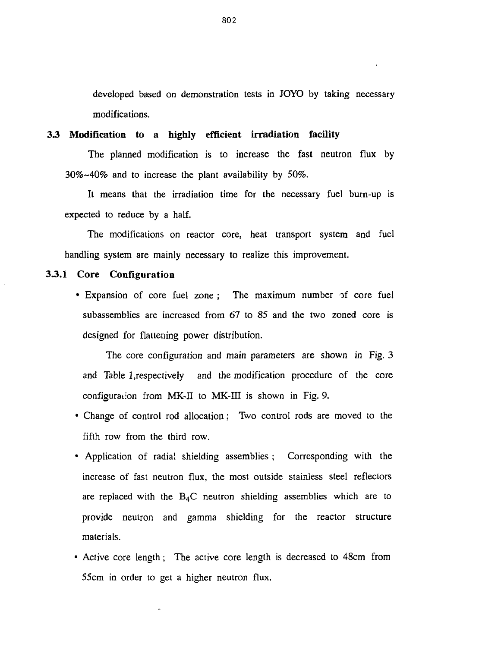developed based on demonstration tests in JOYO by taking necessary modifications.

#### **3 3 Modification to a highly efficient irradiation facility**

The planned modification is to increase the fast neutron flux by 30%~40% and to increase the plant availability by 50%.

It means that the irradiation time for the necessary fuel burn-up is expected to reduce by a half.

The modifications on reactor core, heat transport system and fuel handling system are mainly necessary to realize this improvement.

#### **33.1 Core Configuration**

• Expansion of core fuel zone ; The maximum number of core fuel subassemblies are increased from 67 to 85 and the two zoned core is designed for flattening power distribution.

The core configuration and main parameters are shown in Fig. 3 and Table 1,respectively and the modification procedure of the core configuration from MK-II to MK-III is shown in Fig. 9.

- Change of control rod allocation; Two control rods are moved to the fifth row from the third row.
- Application of radial shielding assemblies ; Corresponding with the increase of fast neutron flux, the most outside stainless steel reflectors are replaced with the  $B_4C$  neutron shielding assemblies which are to provide neutron and gamma shielding for the reactor structure materials.
- Active core length; The active core length is decreased to 48cm from 55cm in order to get a higher neutron flux.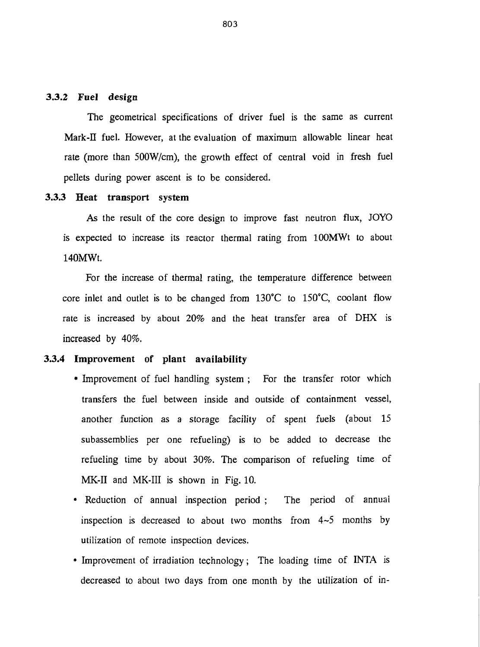## **3.3.2 Fuel design**

The geometrical specifications of driver fuel is the same as current Mark-II fuel. However, at the evaluation of maximum allowable linear heat rate (more than 500W/cm), the growth effect of central void in fresh fuel pellets during power ascent is to be considered.

#### **3.3.3 Heat transport system**

As the result of the core design to improve fast neutron flux, JOYO is expected to increase its reactor thermal rating from 100MWt to about 140MWt.

For the increase of thermal rating, the temperature difference between core inlet and outlet is to be changed from 130°C to 150°C, coolant flow rate is increased by about 20% and the heat transfer area of DHX is increased by 40%.

## **3.3.4 Improvement of plant availability**

- Improvement of fuel handling system; For the transfer rotor which transfers the fuel between inside and outside of containment vessel, another function as a storage facility of spent fuels (about 15 subassemblies per one refueling) is to be added to decrease the refueling time by about 30%. The comparison of refueling time of MK-II and MK-III is shown in Fig. 10.
- Reduction of annual inspection period; The period of annual inspection is decreased to about two months from  $4-5$  months by utilization of remote inspection devices.
- Improvement of irradiation technology; The loading time of INTA is decreased to about two days from one month by the utilization of in-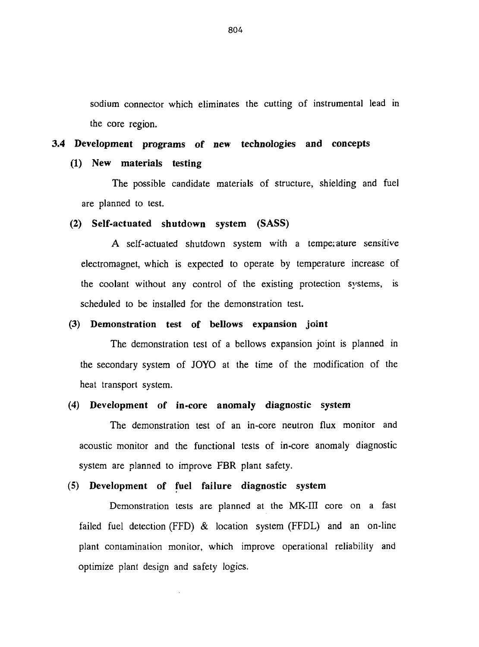sodium connector which eliminates the cutting of instrumental lead in the core region.

## **3.4 Development programs of new technologies and concepts**

## **(1) New materials testing**

The possible candidate materials of structure, shielding and fuel are planned to test.

#### **(2) Self-actuated shutdown system (SASS)**

A self-actuated shutdown system with a temperature sensitive electromagnet, which is expected to operate by temperature increase of the coolant without any control of the existing protection systems, is scheduled to be installed for the demonstration test.

#### **(3) Demonstration test of bellows expansion joint**

The demonstration test of a bellows expansion joint is planned in the secondary system of JOYO at the time of the modification of the heat transport system.

## **(4) Development of in-core anomaly diagnostic system**

The demonstration test of an in-core neutron flux monitor and acoustic monitor and the functional tests of in-core anomaly diagnostic system are planned to improve FBR plant safety.

#### **(5) Development of fuel failure diagnostic system**

Demonstration tests are planned at the MK-ITI core on a fast failed fuel detection (FFD) & location system (FFDL) and an on-line plant contamination monitor, which improve operational reliability and optimize plant design and safety logics.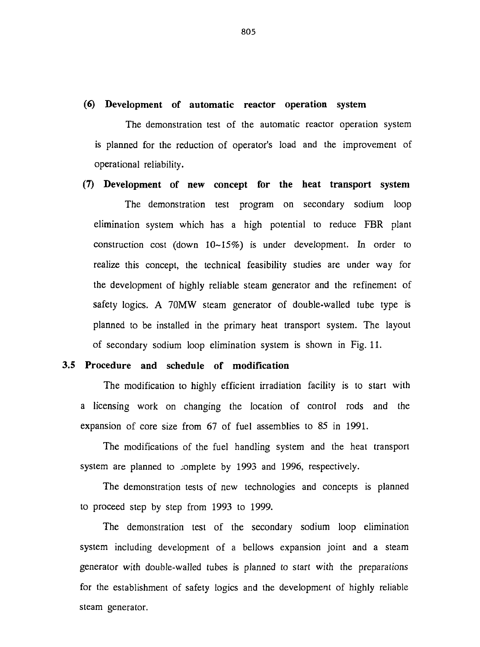#### **(6) Development of automatic reactor operation system**

The demonstration test of the automatic reactor operation system is planned for the reduction of operator's load and the improvement of operational reliability.

**(7) Development of new concept for the heat transport system** The demonstration test program on secondary sodium loop elimination system which has a high potential to reduce FBR plant construction cost (down 10-15%) is under development. In order to realize this concept, the technical feasibility studies are under way for the development of highly reliable steam generator and the refinement of safety logics. A 70MW steam generator of double-walled tube type is planned to be installed in the primary heat transport system. The layout of secondary sodium loop elimination system is shown in Fig. 11.

#### **3.5 Procedure and schedule of modification**

The modification to highly efficient irradiation facility is to start with a licensing work on changing the location of control rods and the expansion of core size from 67 of fuel assemblies to 85 in 1991.

The modifications of the fuel handling system and the heat transport system are planned to complete by 1993 and 1996, respectively.

The demonstration tests of new technologies and concepts is planned to proceed step by step from 1993 to 1999.

The demonstration test of the secondary sodium loop elimination system including development of a bellows expansion joint and a steam generator with double-walled tubes is planned to start with the preparations for the establishment of safety logics and the development of highly reliable steam generator.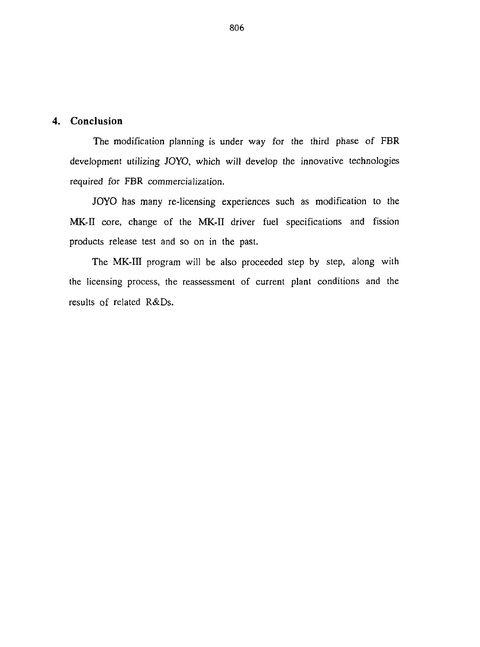## **4. Conclusion**

The modification planning is under way for the third phase of FBR development utilizing JOYO, which will develop the innovative technologies required for FBR commercialization.

JOYO has many re-licensing experiences such as modification to the MK-II core, change of the MK-II driver fuel specifications and fission products release test and so on in the past.

The MK-III program will be also proceeded step by step, along with the licensing process, the reassessment of current plant conditions and the results of related R&Ds.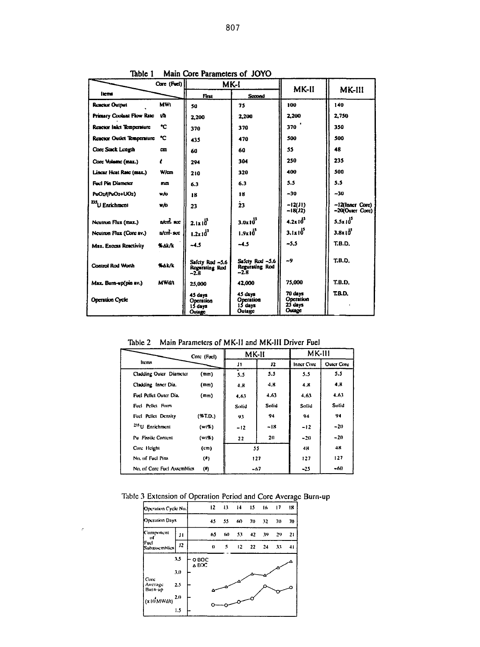| Core (Fuel)                       |                      |                                                 | MK-I                                               | MK-II                                     | MK-III                             |  |
|-----------------------------------|----------------------|-------------------------------------------------|----------------------------------------------------|-------------------------------------------|------------------------------------|--|
| <b>liens</b>                      |                      | Finu                                            | Scoond                                             |                                           |                                    |  |
| <b>Reactor Output</b>             | <b>MWt</b>           | 50                                              | 75                                                 | 100                                       | 140                                |  |
| <b>Primary Coolant Flow Rate</b>  | w                    | 2.200                                           | 2.200                                              | 2.200                                     | 2.750                              |  |
| Reactor Inlet Temperature         | ℃                    | 370                                             | 370                                                | 370                                       | 350                                |  |
| <b>Reactor Outlet Temperature</b> | ℃                    | 435                                             | 470                                                | 500                                       | 500                                |  |
| Core Stack Length                 | cm                   | 60                                              | 60                                                 | 55                                        | 48                                 |  |
| Core Volume (max.)                | ı                    | 294                                             | 304                                                | 250                                       | 235                                |  |
| Lincar Heat Rate (max.)           | Wiem                 | 210                                             | 320                                                | 400                                       | 500                                |  |
| <b>Fuc! Pin Diameter</b>          | mm                   | 6.3                                             | 6.3                                                | 5.5                                       | 5.5                                |  |
| PuO2/IPuO2+UO2)                   | w/o                  | 18                                              | 18                                                 | $-30$                                     | $-30$                              |  |
| 235<br>U Enrichment               | wio                  | 23                                              | ż3                                                 | $-12(31)$<br>$-18(32)$                    | -12(Inner Core)<br>-20(Outer Core) |  |
| Neutron Flux (max.)               | atenti acc           | $2.1x10^{3}$                                    | $3.0x10^{3}$                                       | $4.2x10^{3}$                              | $5.5x10^{5}$                       |  |
| Neutron Flux (Core av.)           | $n$ $cm$ $R$ $R$ $R$ | $1.2 \times 10^{3}$                             | $1.9 \times 10^{5}$                                | $3.1 \times 10^{5}$                       | $3.8 \times 10^{14}$               |  |
| Max. Excess Reactivity            | <b>SAK/L</b>         | $-4.5$                                          | $-4.5$                                             | $-5.5$                                    | T.B.D.                             |  |
| <b>Control Rod Worth</b>          | <b>WAK/K</b>         | Safety Rad ~5.6<br><b>Regurating Rod</b><br>-23 | Safety Rod ~5.6<br><b>Regurating Rod</b><br>$-2.8$ | -9                                        | <b>T.B.D.</b>                      |  |
| Max. Burn-up(pin av.)             | <b>MWd/t</b>         | 25,000                                          | 42,000                                             | 75,000                                    | T.B.D.                             |  |
| <b>Operation Cycle</b>            |                      | 45 days<br>Operation<br>15 davs<br>Outage       | 45 days<br>Operation<br>15 days<br>Outage          | 70 davs<br>Operation<br>23 days<br>Outage | TRD.                               |  |

Table 1 Main Core Parameters of JOYO

Table 2 Main Parameters of MK-II and MK-III Driver Fuel

|                             | Core (Fuel)       | MK-II |       | <b>MK-111</b>     |                   |  |  |
|-----------------------------|-------------------|-------|-------|-------------------|-------------------|--|--|
| <b>Items</b>                |                   | J1    | 12    | <b>Inner Core</b> | <b>Outer Circ</b> |  |  |
| Cladding Outer Diameter     | (mm)              | 5.5   | 5.5   | 5.5               | 5.5               |  |  |
| Cladding Inner Dia.         | (mm)              | 4.8   | 4.K   | 4.8               | 4.8               |  |  |
| Fuel Pellet Outer Dia.      | (m <sub>m</sub> ) | 4.63  | 4.63  | 4.63              | 4.63              |  |  |
| Fuel Pellet Form            |                   | Solid | Solid | Solid             | Solid             |  |  |
| Fuel Pellet Density         | $(*T.D.)$         | 93    | 94    | 94                | 94                |  |  |
| <sup>235</sup> U Enrichment | (w(%)             | $-12$ | -18   | -12               | $-20$             |  |  |
| Pu Fissile Content          | $(w_1, w_2)$      | 22    | 20    | $-20$             | $-20$             |  |  |
| Core Height                 | (c <sub>m</sub> ) | 55    |       | 48                | 48                |  |  |
| No. of Feel Pins            | $($ a             | 127   |       | 127               | 127               |  |  |
| No. of Core Fuel Assemblies | (#)               | -67   |       | -25               | -60               |  |  |

## Table 3 Extension of Operation Period and Core Average Burn-up

| Operation Cycle No.        |            |                | 12 | 13 |     | $14 \t 15$ | -16 | $\vert$ 17 | 18 |
|----------------------------|------------|----------------|----|----|-----|------------|-----|------------|----|
| Operation Days             |            |                | 45 | 55 | 60  | -70        | 32  | 70         | 70 |
| Component<br>υſ            | JІ         |                | 65 | 6D | -53 | 42         | -39 | 29         | 21 |
| lFuch<br>Subassemblies     | 12         |                | 0  | \$ | 12. | 22         | -24 | 33         | 41 |
|                            | 3.5<br>3.0 | O BOC<br>A EOC |    |    |     |            |     |            |    |
| Core<br>Average<br>Burn-up | 2.5        |                |    |    |     |            |     |            |    |
| (x10 MWd/t)                | 2.0<br>1.5 |                |    |    |     |            |     |            |    |

 $\boldsymbol{\beta}$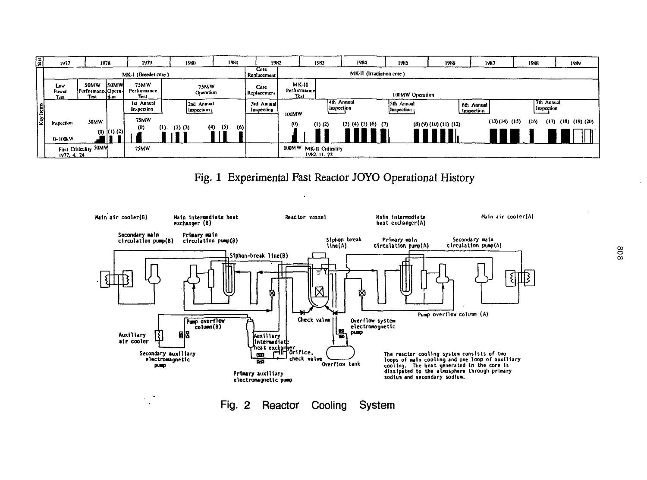| 圓 | 1977                 |                                   | 1978              | 1979                               | 1980                     | 1981                     | 1982                     |                                     | 1983                                    | 1984                          | 1985                                   | 1986               |                          | 1987         | 1988                     | 1989                 |
|---|----------------------|-----------------------------------|-------------------|------------------------------------|--------------------------|--------------------------|--------------------------|-------------------------------------|-----------------------------------------|-------------------------------|----------------------------------------|--------------------|--------------------------|--------------|--------------------------|----------------------|
|   | MK-I (Breeder core)  |                                   |                   |                                    | Core<br>Replacement      | MK-II (Irradiation core) |                          |                                     |                                         |                               |                                        |                    |                          |              |                          |                      |
|   | Low<br>Power<br>Test | 50MW<br>PerformanedOpera-<br>Test | 150MW<br>1tion    | <b>75MW</b><br>Performance<br>Test | <b>75MW</b><br>Operation |                          | Core<br>, Replacement    | <b>MK-II</b><br>Performance<br>Test |                                         | <b>100MW Operation</b>        |                                        |                    |                          |              |                          |                      |
|   |                      |                                   |                   | ist Annual<br>Inspection           | 2nd Annual<br>Inspection |                          | 3rd Annual<br>Inspection | 100MW                               | 4th Annual<br>Inspection                |                               | Sth Annual<br> Inspection <sub> </sub> |                    | 6th Annual<br>Inspection |              | 7th Annual<br>Inspection |                      |
|   | Inspection           | 50MW                              |                   | 75MW<br>(0)<br>$\mathbf{u}$ .      | (4)<br>$(2)$ $(3)$       | (5)<br>(6)               |                          | (0)                                 | $(1)$ $(2)$                             | $(3)$ $(4)$ $(5)$ $(6)$ $(7)$ |                                        | (8)(9)(10)(11)(12) |                          | (13)(14)(15) | (17)<br>(16)             | $(18)$ $(19)$ $(20)$ |
|   | $0 - 100kW$          |                                   | $(0)$ $(1)$ $(2)$ |                                    |                          |                          |                          |                                     |                                         |                               |                                        |                    |                          |              |                          |                      |
|   | 1977. 4. 24          | First Criticulity 50MW            |                   | <b>75MW</b>                        |                          |                          |                          |                                     | 100MW MK-II Criticality<br>1982, 11, 22 |                               |                                        |                    |                          |              |                          |                      |

 $\lambda$ 

Fig. 1 Experimental Fast Reactor JOYO Operational History

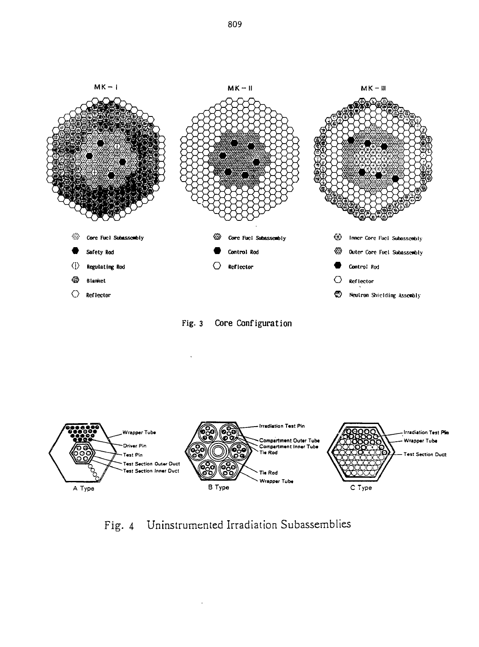

Core Configuration Fig.  $3$ 



Fig. 4 Uninstrumented Irradiation Subassemblies

809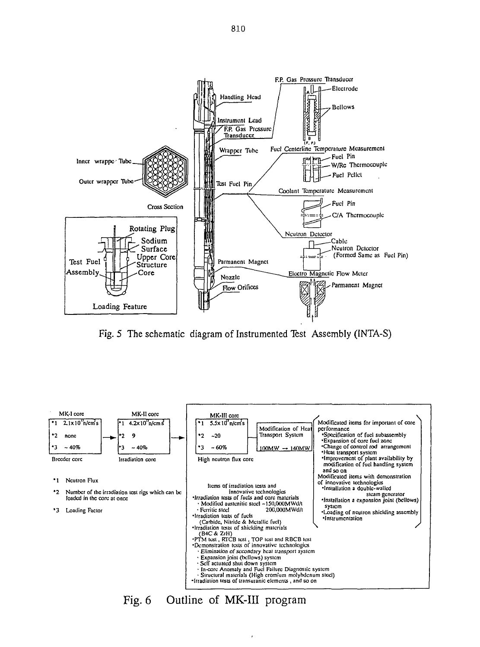

Fig. 5 The schematic diagram of Instrumented Test Assembly (INTA-S)



Fig. 6 Outline of MK-III program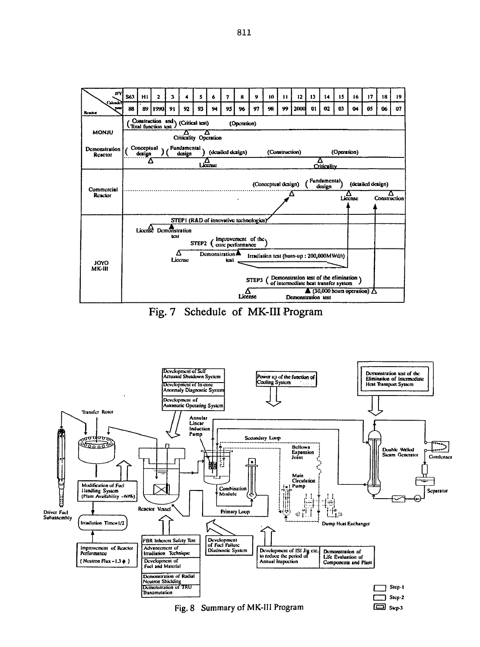





Fig. 8 Summary of MK-III Program

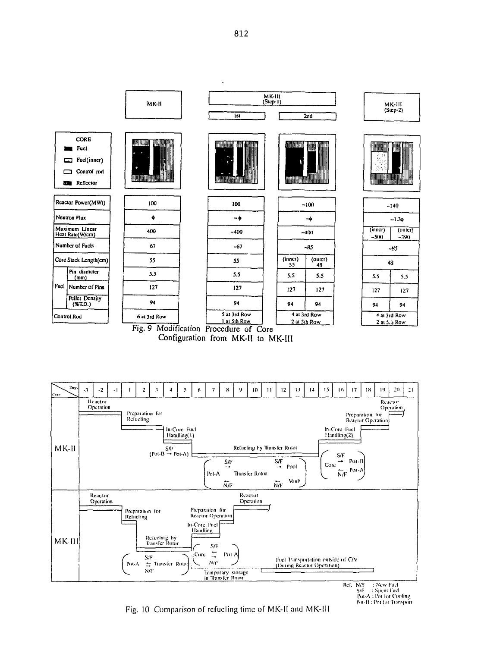MK-III<br>(Step-1) MK-II MK-III  $(Sup-2)$ **Ist**  $\overline{2n}$ CORE ,,,,,,,,,,,,, muuun HANA **E** Fuct Fuel(inner)  $\Box$  Control red **ALIMAN AND STATE** WWW.W *MARKHAMARAN* Reflector Reactor Power(MWt) 100 100  $-100$  $-140$ Neutron Flux ٠  $-\phi$  $-\phi$  $-1.30$ Maximum Lincar<br>Heat Rate(W/cm)  $(inner)$ 400  $(outer)$  $-400$  $-400$  $-500$ -390 Number of Fucts 67  $-67$  $-85$  $-85$  $\frac{\text{(inner)}}{55}$  $\frac{1}{48}$ Core Stack Length(cm) 55 55 48 Pin diameter  $5.5$  $5.5$  $5.5$ 5.5 5.5  $5.5$  $(mm)$ Fuel Number of Pins  $127$  $127$  $127$  $127$ 127 127 Pellet Density 94 94  $(*T.D.)$ 94 94 94 94 5 at 3rd Row 4 at 3rd Row 4 at 3rd Row Control Rod 6 at 3rd Row 1 at 5th Row 2 at 5th Row 2 at 5.5 Row





 $S/F =$ : Spent Fuel<br>Pot-A : Pot for Cooling Pot-B : Pot for Transport

Fig. 10 Comparison of refucling time of MK-II and MK-III